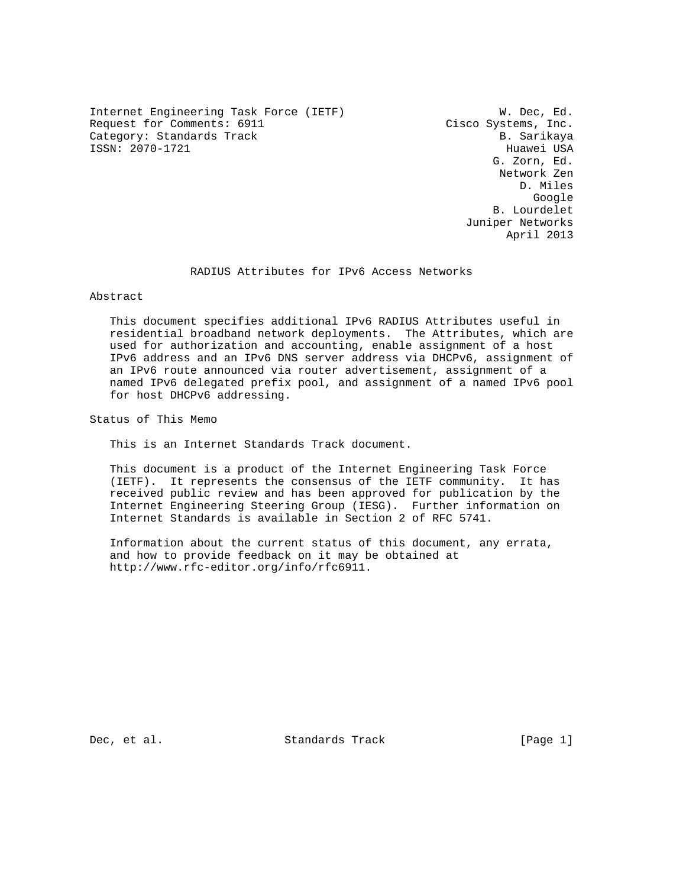Internet Engineering Task Force (IETF) W. Dec, Ed. Request for Comments: 6911 Cisco Systems, Inc. Category: Standards Track B. Sarikaya ISSN: 2070-1721 Huawei USA

 G. Zorn, Ed. Network Zen D. Miles google is a straightforward of the control of the control of the control of the control of the control of the c B. Lourdelet Juniper Networks April 2013

## RADIUS Attributes for IPv6 Access Networks

Abstract

 This document specifies additional IPv6 RADIUS Attributes useful in residential broadband network deployments. The Attributes, which are used for authorization and accounting, enable assignment of a host IPv6 address and an IPv6 DNS server address via DHCPv6, assignment of an IPv6 route announced via router advertisement, assignment of a named IPv6 delegated prefix pool, and assignment of a named IPv6 pool for host DHCPv6 addressing.

Status of This Memo

This is an Internet Standards Track document.

 This document is a product of the Internet Engineering Task Force (IETF). It represents the consensus of the IETF community. It has received public review and has been approved for publication by the Internet Engineering Steering Group (IESG). Further information on Internet Standards is available in Section 2 of RFC 5741.

 Information about the current status of this document, any errata, and how to provide feedback on it may be obtained at http://www.rfc-editor.org/info/rfc6911.

Dec, et al. Standards Track [Page 1]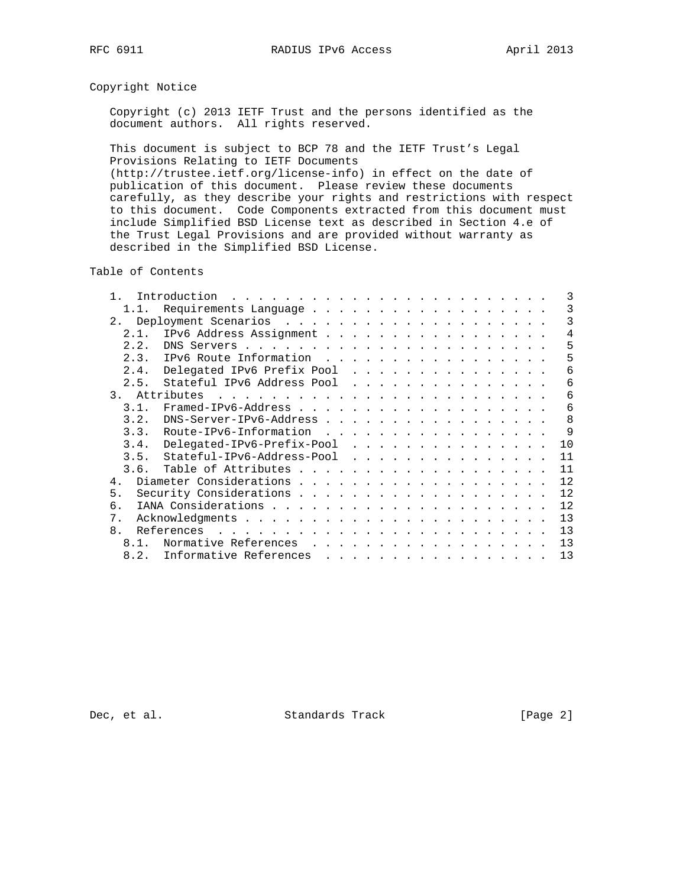# Copyright Notice

 Copyright (c) 2013 IETF Trust and the persons identified as the document authors. All rights reserved.

 This document is subject to BCP 78 and the IETF Trust's Legal Provisions Relating to IETF Documents

 (http://trustee.ietf.org/license-info) in effect on the date of publication of this document. Please review these documents carefully, as they describe your rights and restrictions with respect to this document. Code Components extracted from this document must include Simplified BSD License text as described in Section 4.e of the Trust Legal Provisions and are provided without warranty as described in the Simplified BSD License.

Table of Contents

|      | Introduction                                                                                                                                                                                                                                            |  |  |    |
|------|---------------------------------------------------------------------------------------------------------------------------------------------------------------------------------------------------------------------------------------------------------|--|--|----|
|      | Requirements Language                                                                                                                                                                                                                                   |  |  |    |
| 2.   |                                                                                                                                                                                                                                                         |  |  | 3  |
| 2.1. | IPv6 Address Assignment                                                                                                                                                                                                                                 |  |  | 4  |
| 2.2. |                                                                                                                                                                                                                                                         |  |  | 5  |
|      | 2.3. IPv6 Route Information                                                                                                                                                                                                                             |  |  | 5  |
| 2.4. | Delegated IPv6 Prefix Pool                                                                                                                                                                                                                              |  |  | 6  |
| 2.5. | Stateful IPv6 Address Pool                                                                                                                                                                                                                              |  |  | 6  |
| 3.   | Attributes<br>and a company of the company of the company of the company of the company of the company of the company of the                                                                                                                            |  |  | 6  |
| 3 1  |                                                                                                                                                                                                                                                         |  |  | 6  |
| 3.2. | $DNS-Server-IPv6-Address$                                                                                                                                                                                                                               |  |  | 8  |
| 3.3. | Route-IPv6-Information                                                                                                                                                                                                                                  |  |  | 9  |
| 3.4. | Delegated-IPv6-Prefix-Pool                                                                                                                                                                                                                              |  |  | 10 |
|      | 3.5. Stateful-IPv6-Address-Pool                                                                                                                                                                                                                         |  |  | 11 |
| 3.6. |                                                                                                                                                                                                                                                         |  |  | 11 |
| 4.   |                                                                                                                                                                                                                                                         |  |  | 12 |
| 5.   |                                                                                                                                                                                                                                                         |  |  | 12 |
| б.   |                                                                                                                                                                                                                                                         |  |  | 12 |
| 7.   |                                                                                                                                                                                                                                                         |  |  | 13 |
| 8.   | References<br>. The contract of the contract of the contract of the contract of the contract of the contract of the contract of the contract of the contract of the contract of the contract of the contract of the contract of the contrac             |  |  | 13 |
| 8.1. | Normative References<br>.                                                                                                                                                                                                                               |  |  | 13 |
| 8.2. | Informative References<br>a construction of the construction of the construction of the construction of the construction of the construction of the construction of the construction of the construction of the construction of the construction of the |  |  | 13 |

Dec, et al. Standards Track [Page 2]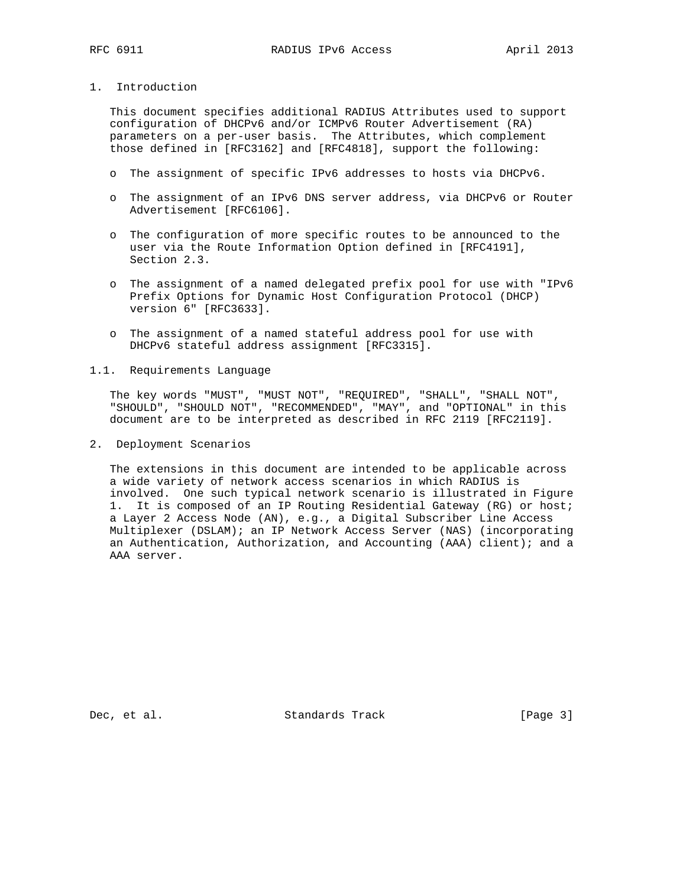# 1. Introduction

 This document specifies additional RADIUS Attributes used to support configuration of DHCPv6 and/or ICMPv6 Router Advertisement (RA) parameters on a per-user basis. The Attributes, which complement those defined in [RFC3162] and [RFC4818], support the following:

- o The assignment of specific IPv6 addresses to hosts via DHCPv6.
- o The assignment of an IPv6 DNS server address, via DHCPv6 or Router Advertisement [RFC6106].
- o The configuration of more specific routes to be announced to the user via the Route Information Option defined in [RFC4191], Section 2.3.
- o The assignment of a named delegated prefix pool for use with "IPv6 Prefix Options for Dynamic Host Configuration Protocol (DHCP) version 6" [RFC3633].
- o The assignment of a named stateful address pool for use with DHCPv6 stateful address assignment [RFC3315].
- 1.1. Requirements Language

 The key words "MUST", "MUST NOT", "REQUIRED", "SHALL", "SHALL NOT", "SHOULD", "SHOULD NOT", "RECOMMENDED", "MAY", and "OPTIONAL" in this document are to be interpreted as described in RFC 2119 [RFC2119].

2. Deployment Scenarios

 The extensions in this document are intended to be applicable across a wide variety of network access scenarios in which RADIUS is involved. One such typical network scenario is illustrated in Figure 1. It is composed of an IP Routing Residential Gateway (RG) or host; a Layer 2 Access Node (AN), e.g., a Digital Subscriber Line Access Multiplexer (DSLAM); an IP Network Access Server (NAS) (incorporating an Authentication, Authorization, and Accounting (AAA) client); and a AAA server.

Dec, et al. Standards Track [Page 3]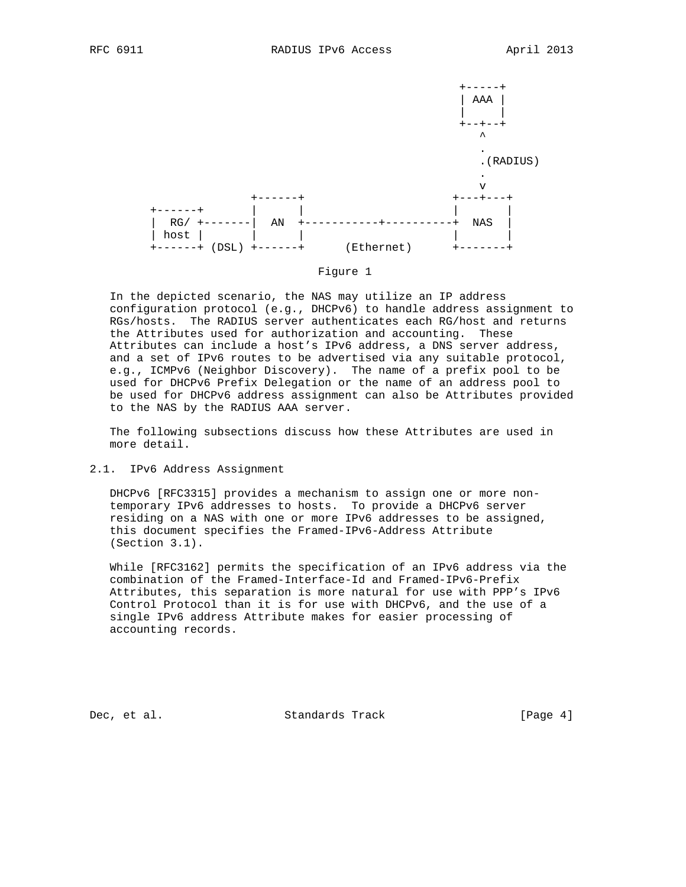



### Figure 1

 In the depicted scenario, the NAS may utilize an IP address configuration protocol (e.g., DHCPv6) to handle address assignment to RGs/hosts. The RADIUS server authenticates each RG/host and returns the Attributes used for authorization and accounting. These Attributes can include a host's IPv6 address, a DNS server address, and a set of IPv6 routes to be advertised via any suitable protocol, e.g., ICMPv6 (Neighbor Discovery). The name of a prefix pool to be used for DHCPv6 Prefix Delegation or the name of an address pool to be used for DHCPv6 address assignment can also be Attributes provided to the NAS by the RADIUS AAA server.

 The following subsections discuss how these Attributes are used in more detail.

2.1. IPv6 Address Assignment

 DHCPv6 [RFC3315] provides a mechanism to assign one or more non temporary IPv6 addresses to hosts. To provide a DHCPv6 server residing on a NAS with one or more IPv6 addresses to be assigned, this document specifies the Framed-IPv6-Address Attribute (Section 3.1).

 While [RFC3162] permits the specification of an IPv6 address via the combination of the Framed-Interface-Id and Framed-IPv6-Prefix Attributes, this separation is more natural for use with PPP's IPv6 Control Protocol than it is for use with DHCPv6, and the use of a single IPv6 address Attribute makes for easier processing of accounting records.

Dec, et al. Standards Track [Page 4]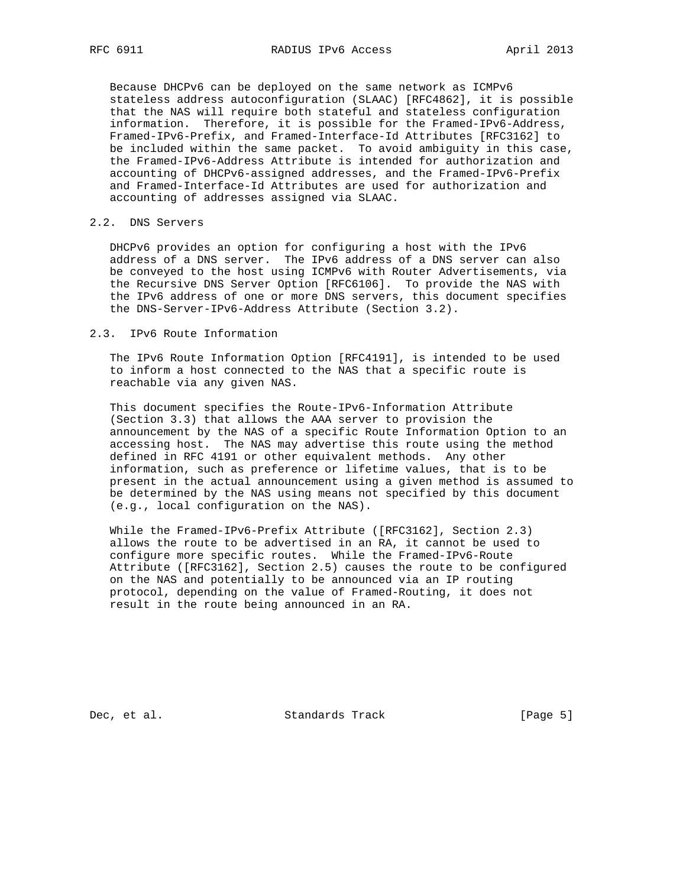Because DHCPv6 can be deployed on the same network as ICMPv6 stateless address autoconfiguration (SLAAC) [RFC4862], it is possible that the NAS will require both stateful and stateless configuration information. Therefore, it is possible for the Framed-IPv6-Address, Framed-IPv6-Prefix, and Framed-Interface-Id Attributes [RFC3162] to be included within the same packet. To avoid ambiguity in this case, the Framed-IPv6-Address Attribute is intended for authorization and accounting of DHCPv6-assigned addresses, and the Framed-IPv6-Prefix and Framed-Interface-Id Attributes are used for authorization and accounting of addresses assigned via SLAAC.

## 2.2. DNS Servers

 DHCPv6 provides an option for configuring a host with the IPv6 address of a DNS server. The IPv6 address of a DNS server can also be conveyed to the host using ICMPv6 with Router Advertisements, via the Recursive DNS Server Option [RFC6106]. To provide the NAS with the IPv6 address of one or more DNS servers, this document specifies the DNS-Server-IPv6-Address Attribute (Section 3.2).

### 2.3. IPv6 Route Information

 The IPv6 Route Information Option [RFC4191], is intended to be used to inform a host connected to the NAS that a specific route is reachable via any given NAS.

 This document specifies the Route-IPv6-Information Attribute (Section 3.3) that allows the AAA server to provision the announcement by the NAS of a specific Route Information Option to an accessing host. The NAS may advertise this route using the method defined in RFC 4191 or other equivalent methods. Any other information, such as preference or lifetime values, that is to be present in the actual announcement using a given method is assumed to be determined by the NAS using means not specified by this document (e.g., local configuration on the NAS).

 While the Framed-IPv6-Prefix Attribute ([RFC3162], Section 2.3) allows the route to be advertised in an RA, it cannot be used to configure more specific routes. While the Framed-IPv6-Route Attribute ([RFC3162], Section 2.5) causes the route to be configured on the NAS and potentially to be announced via an IP routing protocol, depending on the value of Framed-Routing, it does not result in the route being announced in an RA.

Dec, et al. Standards Track [Page 5]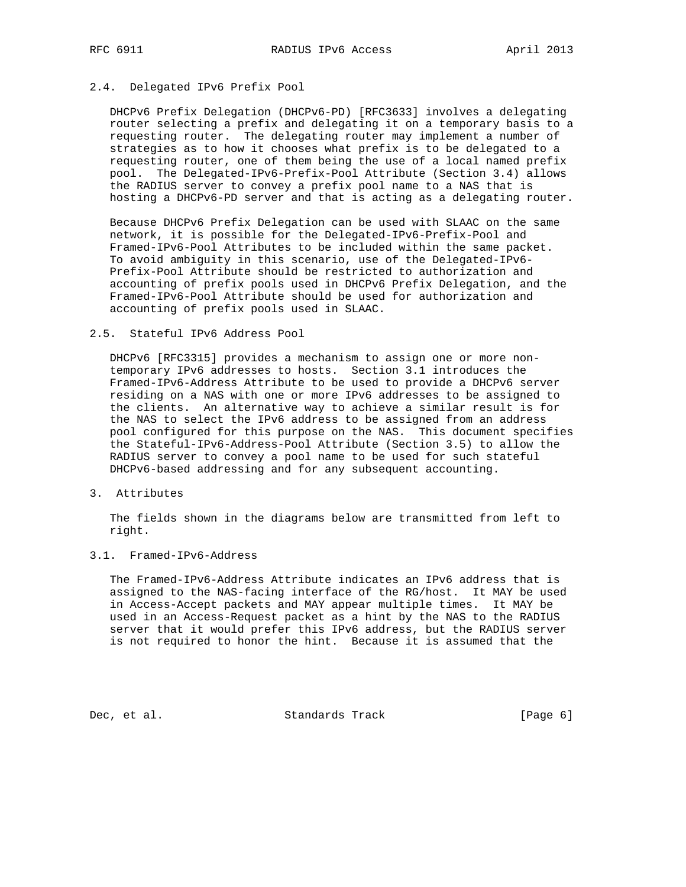# 2.4. Delegated IPv6 Prefix Pool

 DHCPv6 Prefix Delegation (DHCPv6-PD) [RFC3633] involves a delegating router selecting a prefix and delegating it on a temporary basis to a requesting router. The delegating router may implement a number of strategies as to how it chooses what prefix is to be delegated to a requesting router, one of them being the use of a local named prefix pool. The Delegated-IPv6-Prefix-Pool Attribute (Section 3.4) allows the RADIUS server to convey a prefix pool name to a NAS that is hosting a DHCPv6-PD server and that is acting as a delegating router.

 Because DHCPv6 Prefix Delegation can be used with SLAAC on the same network, it is possible for the Delegated-IPv6-Prefix-Pool and Framed-IPv6-Pool Attributes to be included within the same packet. To avoid ambiguity in this scenario, use of the Delegated-IPv6- Prefix-Pool Attribute should be restricted to authorization and accounting of prefix pools used in DHCPv6 Prefix Delegation, and the Framed-IPv6-Pool Attribute should be used for authorization and accounting of prefix pools used in SLAAC.

## 2.5. Stateful IPv6 Address Pool

 DHCPv6 [RFC3315] provides a mechanism to assign one or more non temporary IPv6 addresses to hosts. Section 3.1 introduces the Framed-IPv6-Address Attribute to be used to provide a DHCPv6 server residing on a NAS with one or more IPv6 addresses to be assigned to the clients. An alternative way to achieve a similar result is for the NAS to select the IPv6 address to be assigned from an address pool configured for this purpose on the NAS. This document specifies the Stateful-IPv6-Address-Pool Attribute (Section 3.5) to allow the RADIUS server to convey a pool name to be used for such stateful DHCPv6-based addressing and for any subsequent accounting.

3. Attributes

 The fields shown in the diagrams below are transmitted from left to right.

# 3.1. Framed-IPv6-Address

 The Framed-IPv6-Address Attribute indicates an IPv6 address that is assigned to the NAS-facing interface of the RG/host. It MAY be used in Access-Accept packets and MAY appear multiple times. It MAY be used in an Access-Request packet as a hint by the NAS to the RADIUS server that it would prefer this IPv6 address, but the RADIUS server is not required to honor the hint. Because it is assumed that the

Dec, et al. Standards Track [Page 6]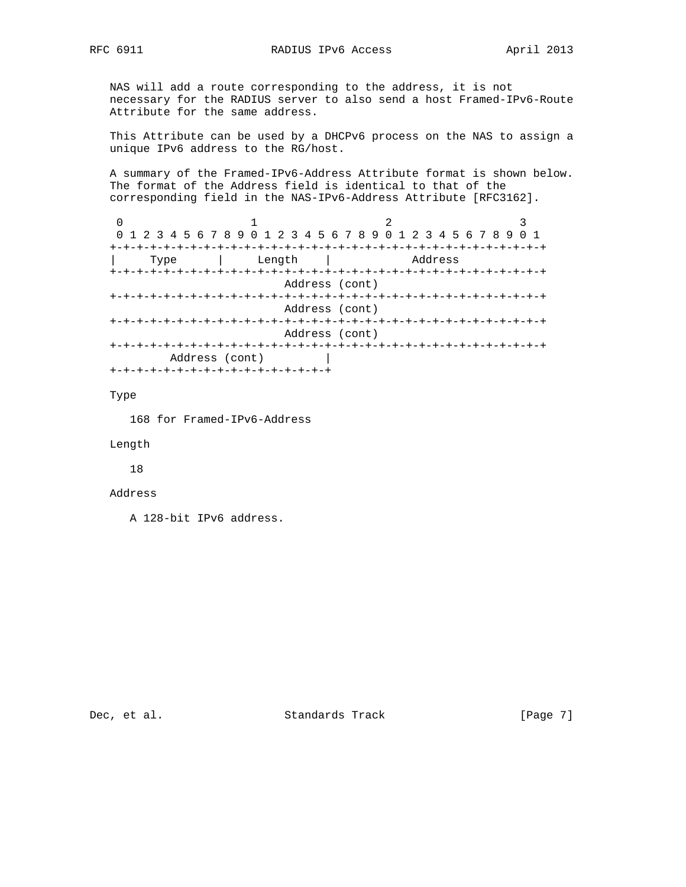NAS will add a route corresponding to the address, it is not necessary for the RADIUS server to also send a host Framed-IPv6-Route Attribute for the same address.

 This Attribute can be used by a DHCPv6 process on the NAS to assign a unique IPv6 address to the RG/host.

 A summary of the Framed-IPv6-Address Attribute format is shown below. The format of the Address field is identical to that of the corresponding field in the NAS-IPv6-Address Attribute [RFC3162].

0  $1$  2 3 0 1 2 3 4 5 6 7 8 9 0 1 2 3 4 5 6 7 8 9 0 1 2 3 4 5 6 7 8 9 0 1 +-+-+-+-+-+-+-+-+-+-+-+-+-+-+-+-+-+-+-+-+-+-+-+-+-+-+-+-+-+-+-+-+ | Type | Length | Address +-+-+-+-+-+-+-+-+-+-+-+-+-+-+-+-+-+-+-+-+-+-+-+-+-+-+-+-+-+-+-+-+ Address (cont) +-+-+-+-+-+-+-+-+-+-+-+-+-+-+-+-+-+-+-+-+-+-+-+-+-+-+-+-+-+-+-+-+ Address (cont) +-+-+-+-+-+-+-+-+-+-+-+-+-+-+-+-+-+-+-+-+-+-+-+-+-+-+-+-+-+-+-+-+ Address (cont) +-+-+-+-+-+-+-+-+-+-+-+-+-+-+-+-+-+-+-+-+-+-+-+-+-+-+-+-+-+-+-+-+ Address (cont) | +-+-+-+-+-+-+-+-+-+-+-+-+-+-+-+-+

Type

168 for Framed-IPv6-Address

Length

18

### Address

A 128-bit IPv6 address.

Dec, et al. Standards Track [Page 7]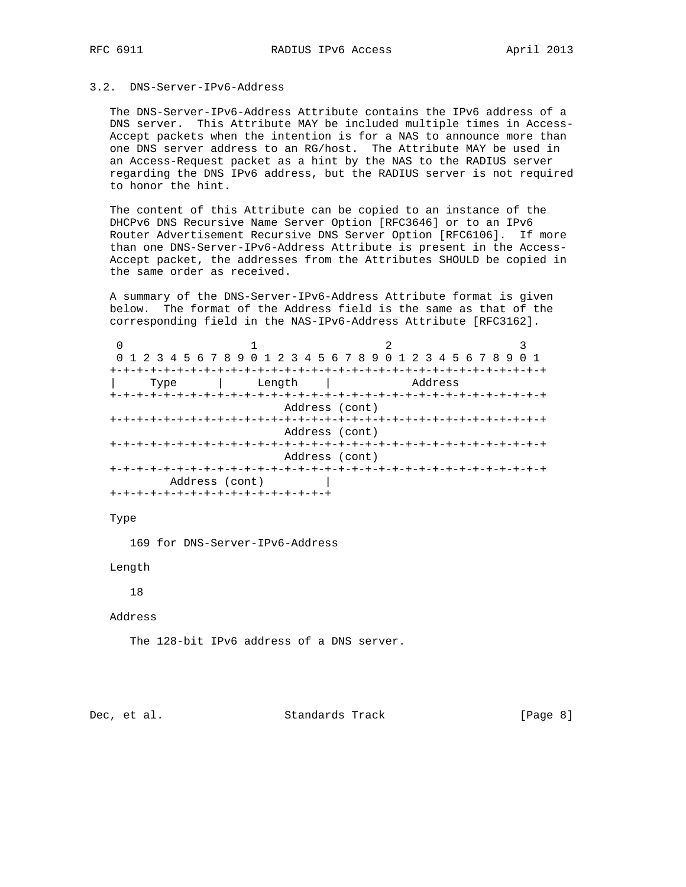# 3.2. DNS-Server-IPv6-Address

 The DNS-Server-IPv6-Address Attribute contains the IPv6 address of a DNS server. This Attribute MAY be included multiple times in Access- Accept packets when the intention is for a NAS to announce more than one DNS server address to an RG/host. The Attribute MAY be used in an Access-Request packet as a hint by the NAS to the RADIUS server regarding the DNS IPv6 address, but the RADIUS server is not required to honor the hint.

 The content of this Attribute can be copied to an instance of the DHCPv6 DNS Recursive Name Server Option [RFC3646] or to an IPv6 Router Advertisement Recursive DNS Server Option [RFC6106]. If more than one DNS-Server-IPv6-Address Attribute is present in the Access- Accept packet, the addresses from the Attributes SHOULD be copied in the same order as received.

 A summary of the DNS-Server-IPv6-Address Attribute format is given below. The format of the Address field is the same as that of the corresponding field in the NAS-IPv6-Address Attribute [RFC3162].

|                                   |                | 0 1 2 3 4 5 6 7 8 9 0 1 2 3 4 5 6 7 8 9 0 1 2 3 4 5 6 7 8 9 |         |  |  |  |
|-----------------------------------|----------------|-------------------------------------------------------------|---------|--|--|--|
|                                   |                |                                                             |         |  |  |  |
| Type                              | Length         |                                                             | Address |  |  |  |
|                                   |                |                                                             |         |  |  |  |
|                                   | Address (cont) |                                                             |         |  |  |  |
|                                   |                |                                                             |         |  |  |  |
|                                   |                | Address (cont)                                              |         |  |  |  |
|                                   |                |                                                             |         |  |  |  |
|                                   |                | Address (cont)                                              |         |  |  |  |
| +-+-+-+-+-+-+-+-                  |                |                                                             |         |  |  |  |
| Address (cont)                    |                |                                                             |         |  |  |  |
| -+-+-+-+-+-+-+-+-+-+-+-+-+-+-+-+- |                |                                                             |         |  |  |  |

Type

169 for DNS-Server-IPv6-Address

Length

18

Address

The 128-bit IPv6 address of a DNS server.

Dec, et al. Standards Track [Page 8]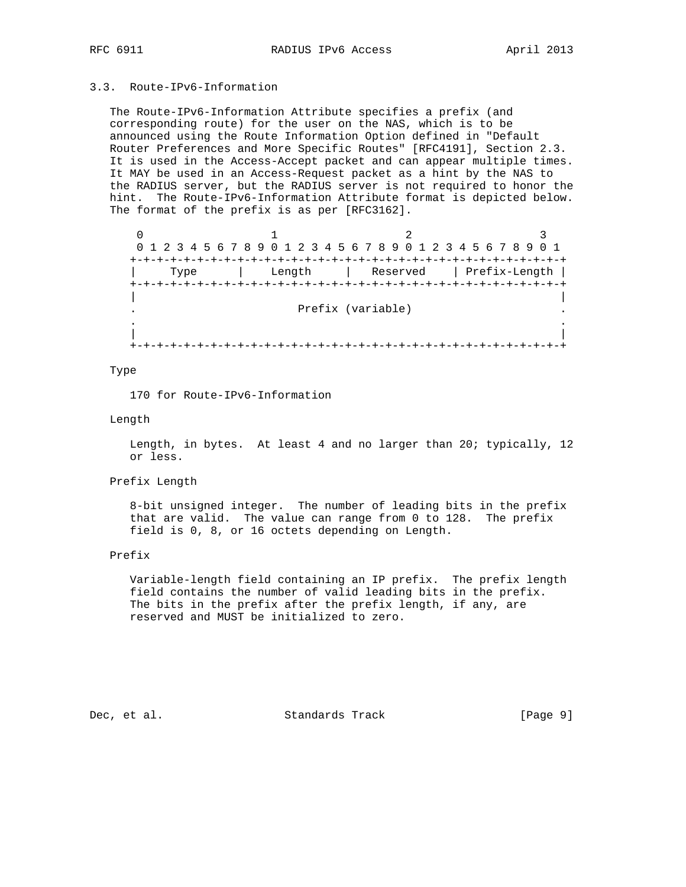# 3.3. Route-IPv6-Information

 The Route-IPv6-Information Attribute specifies a prefix (and corresponding route) for the user on the NAS, which is to be announced using the Route Information Option defined in "Default Router Preferences and More Specific Routes" [RFC4191], Section 2.3. It is used in the Access-Accept packet and can appear multiple times. It MAY be used in an Access-Request packet as a hint by the NAS to the RADIUS server, but the RADIUS server is not required to honor the hint. The Route-IPv6-Information Attribute format is depicted below. The format of the prefix is as per [RFC3162].

|      | 0 1 2 3 4 5 6 7 8 9 0 1 2 3 4 5 6 7 8 9 0 1 2 3 4 5 6 7 8 9 0 1 |                          |  |
|------|-----------------------------------------------------------------|--------------------------|--|
|      |                                                                 |                          |  |
| Type | Length                                                          | Reserved   Prefix-Length |  |
|      |                                                                 |                          |  |
|      |                                                                 | Prefix (variable)        |  |
|      |                                                                 |                          |  |
|      |                                                                 |                          |  |
|      |                                                                 |                          |  |

### Type

170 for Route-IPv6-Information

### Length

 Length, in bytes. At least 4 and no larger than 20; typically, 12 or less.

Prefix Length

 8-bit unsigned integer. The number of leading bits in the prefix that are valid. The value can range from 0 to 128. The prefix field is 0, 8, or 16 octets depending on Length.

### Prefix

 Variable-length field containing an IP prefix. The prefix length field contains the number of valid leading bits in the prefix. The bits in the prefix after the prefix length, if any, are reserved and MUST be initialized to zero.

Dec, et al. Standards Track [Page 9]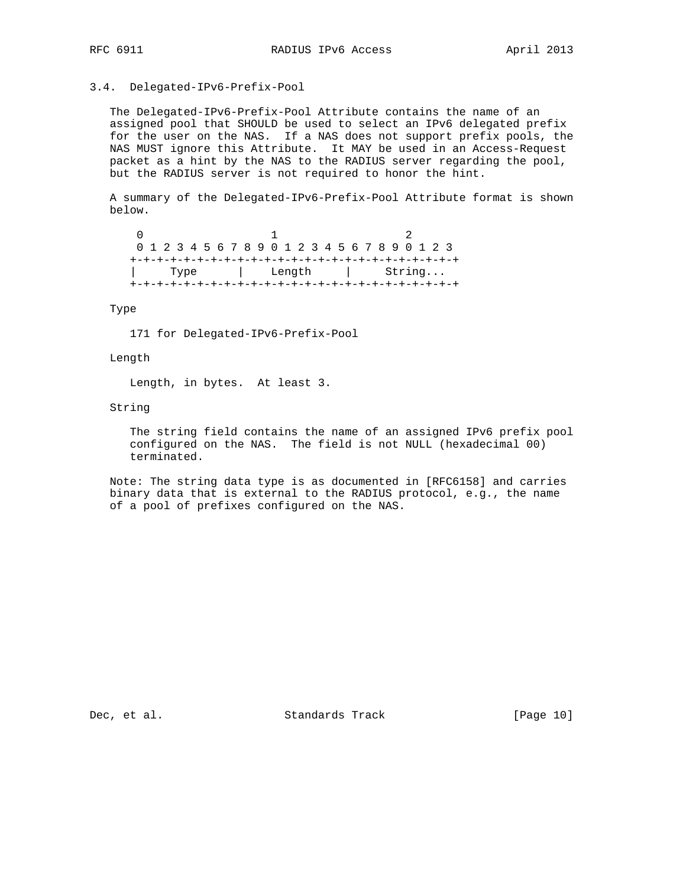### 3.4. Delegated-IPv6-Prefix-Pool

 The Delegated-IPv6-Prefix-Pool Attribute contains the name of an assigned pool that SHOULD be used to select an IPv6 delegated prefix for the user on the NAS. If a NAS does not support prefix pools, the NAS MUST ignore this Attribute. It MAY be used in an Access-Request packet as a hint by the NAS to the RADIUS server regarding the pool, but the RADIUS server is not required to honor the hint.

 A summary of the Delegated-IPv6-Prefix-Pool Attribute format is shown below.

 $0$  1 2 0 1 2 3 4 5 6 7 8 9 0 1 2 3 4 5 6 7 8 9 0 1 2 3 +-+-+-+-+-+-+-+-+-+-+-+-+-+-+-+-+-+-+-+-+-+-+-+-+ | Type | Length | String... +-+-+-+-+-+-+-+-+-+-+-+-+-+-+-+-+-+-+-+-+-+-+-+-+

Type

171 for Delegated-IPv6-Prefix-Pool

Length

Length, in bytes. At least 3.

String

 The string field contains the name of an assigned IPv6 prefix pool configured on the NAS. The field is not NULL (hexadecimal 00) terminated.

 Note: The string data type is as documented in [RFC6158] and carries binary data that is external to the RADIUS protocol, e.g., the name of a pool of prefixes configured on the NAS.

Dec, et al. Standards Track [Page 10]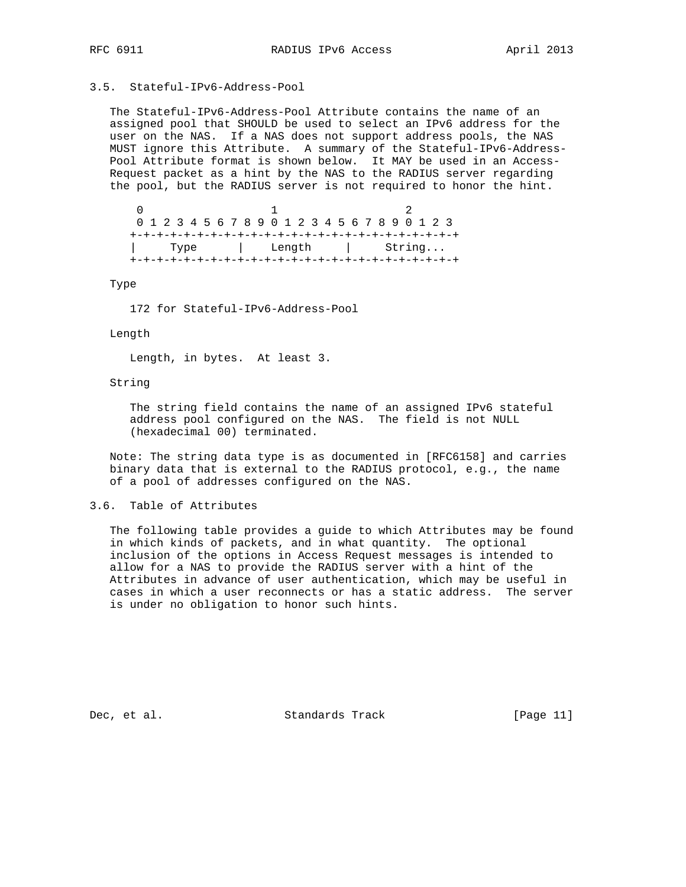# 3.5. Stateful-IPv6-Address-Pool

 The Stateful-IPv6-Address-Pool Attribute contains the name of an assigned pool that SHOULD be used to select an IPv6 address for the user on the NAS. If a NAS does not support address pools, the NAS MUST ignore this Attribute. A summary of the Stateful-IPv6-Address- Pool Attribute format is shown below. It MAY be used in an Access- Request packet as a hint by the NAS to the RADIUS server regarding the pool, but the RADIUS server is not required to honor the hint.

 $0$  1 2 0 1 2 3 4 5 6 7 8 9 0 1 2 3 4 5 6 7 8 9 0 1 2 3 +-+-+-+-+-+-+-+-+-+-+-+-+-+-+-+-+-+-+-+-+-+-+-+-+ Type | Length | String... +-+-+-+-+-+-+-+-+-+-+-+-+-+-+-+-+-+-+-+-+-+-+-+-+

Type

172 for Stateful-IPv6-Address-Pool

### Length

Length, in bytes. At least 3.

### String

 The string field contains the name of an assigned IPv6 stateful address pool configured on the NAS. The field is not NULL (hexadecimal 00) terminated.

 Note: The string data type is as documented in [RFC6158] and carries binary data that is external to the RADIUS protocol, e.g., the name of a pool of addresses configured on the NAS.

## 3.6. Table of Attributes

 The following table provides a guide to which Attributes may be found in which kinds of packets, and in what quantity. The optional inclusion of the options in Access Request messages is intended to allow for a NAS to provide the RADIUS server with a hint of the Attributes in advance of user authentication, which may be useful in cases in which a user reconnects or has a static address. The server is under no obligation to honor such hints.

Dec, et al. Standards Track [Page 11]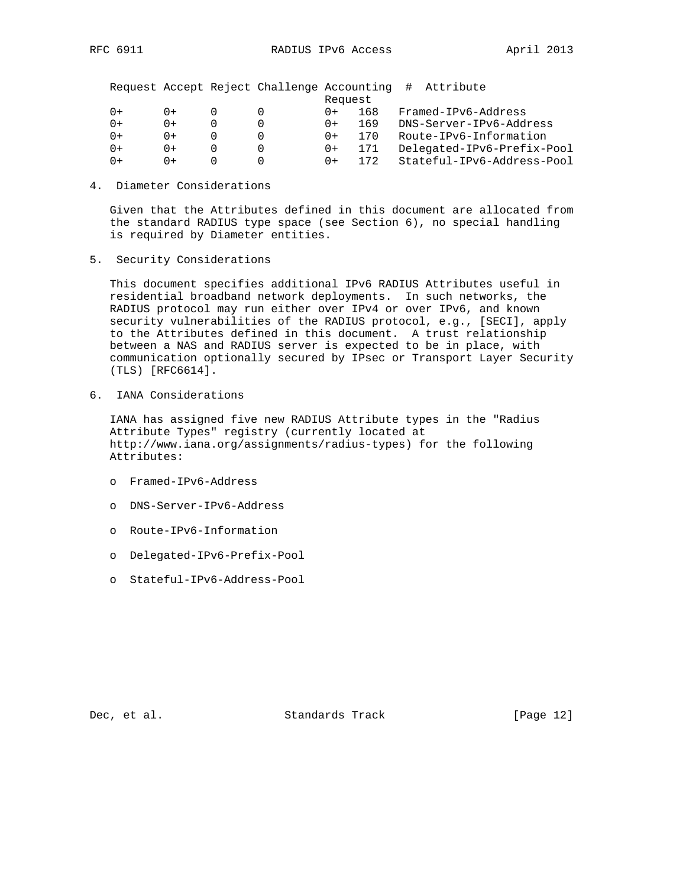| Request                                                       |  |
|---------------------------------------------------------------|--|
| Framed-IPv6-Address<br>168<br>$0+$<br>$() +$<br>$() +$        |  |
| DNS-Server-IPv6-Address<br>169<br>$0+$<br>0+<br>$0+$          |  |
| Route-IPv6-Information<br>170<br>$0+$<br>0+<br>0+             |  |
| Delegated-IPv6-Prefix-Pool<br>171<br>$0+$<br>0+<br>$0+$       |  |
| Stateful-IPv6-Address-Pool<br>172<br>$0+$<br>$() +$<br>$() +$ |  |

4. Diameter Considerations

 Given that the Attributes defined in this document are allocated from the standard RADIUS type space (see Section 6), no special handling is required by Diameter entities.

5. Security Considerations

 This document specifies additional IPv6 RADIUS Attributes useful in residential broadband network deployments. In such networks, the RADIUS protocol may run either over IPv4 or over IPv6, and known security vulnerabilities of the RADIUS protocol, e.g., [SECI], apply to the Attributes defined in this document. A trust relationship between a NAS and RADIUS server is expected to be in place, with communication optionally secured by IPsec or Transport Layer Security (TLS) [RFC6614].

6. IANA Considerations

 IANA has assigned five new RADIUS Attribute types in the "Radius Attribute Types" registry (currently located at http://www.iana.org/assignments/radius-types) for the following Attributes:

- o Framed-IPv6-Address
- o DNS-Server-IPv6-Address
- o Route-IPv6-Information
- o Delegated-IPv6-Prefix-Pool
- o Stateful-IPv6-Address-Pool

Dec, et al. Standards Track [Page 12]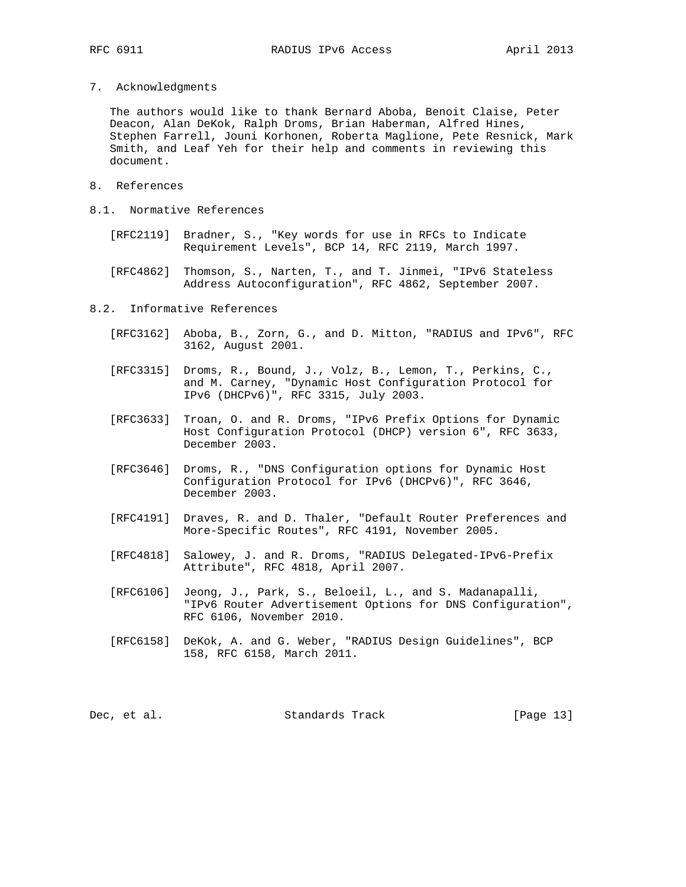7. Acknowledgments

 The authors would like to thank Bernard Aboba, Benoit Claise, Peter Deacon, Alan DeKok, Ralph Droms, Brian Haberman, Alfred Hines, Stephen Farrell, Jouni Korhonen, Roberta Maglione, Pete Resnick, Mark Smith, and Leaf Yeh for their help and comments in reviewing this document.

- 8. References
- 8.1. Normative References
	- [RFC2119] Bradner, S., "Key words for use in RFCs to Indicate Requirement Levels", BCP 14, RFC 2119, March 1997.
	- [RFC4862] Thomson, S., Narten, T., and T. Jinmei, "IPv6 Stateless Address Autoconfiguration", RFC 4862, September 2007.
- 8.2. Informative References
	- [RFC3162] Aboba, B., Zorn, G., and D. Mitton, "RADIUS and IPv6", RFC 3162, August 2001.
	- [RFC3315] Droms, R., Bound, J., Volz, B., Lemon, T., Perkins, C., and M. Carney, "Dynamic Host Configuration Protocol for IPv6 (DHCPv6)", RFC 3315, July 2003.
	- [RFC3633] Troan, O. and R. Droms, "IPv6 Prefix Options for Dynamic Host Configuration Protocol (DHCP) version 6", RFC 3633, December 2003.
	- [RFC3646] Droms, R., "DNS Configuration options for Dynamic Host Configuration Protocol for IPv6 (DHCPv6)", RFC 3646, December 2003.
	- [RFC4191] Draves, R. and D. Thaler, "Default Router Preferences and More-Specific Routes", RFC 4191, November 2005.
	- [RFC4818] Salowey, J. and R. Droms, "RADIUS Delegated-IPv6-Prefix Attribute", RFC 4818, April 2007.
	- [RFC6106] Jeong, J., Park, S., Beloeil, L., and S. Madanapalli, "IPv6 Router Advertisement Options for DNS Configuration", RFC 6106, November 2010.
	- [RFC6158] DeKok, A. and G. Weber, "RADIUS Design Guidelines", BCP 158, RFC 6158, March 2011.

| Standards Track<br>Dec, et al. | [Page 13] |
|--------------------------------|-----------|
|--------------------------------|-----------|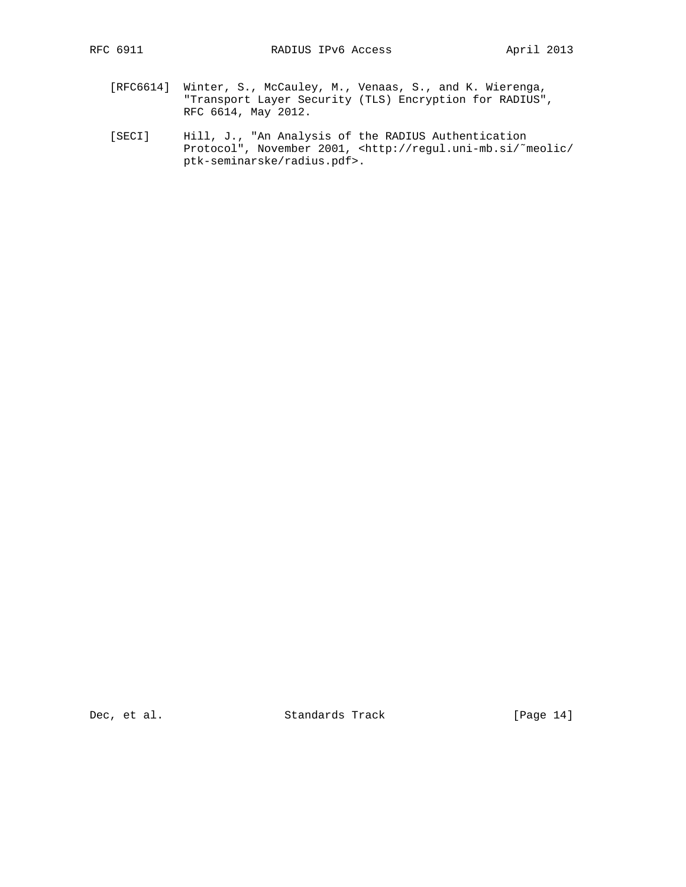- [RFC6614] Winter, S., McCauley, M., Venaas, S., and K. Wierenga, "Transport Layer Security (TLS) Encryption for RADIUS", RFC 6614, May 2012.
- [SECI] Hill, J., "An Analysis of the RADIUS Authentication Protocol", November 2001, <http://regul.uni-mb.si/˜meolic/ ptk-seminarske/radius.pdf>.

Dec, et al. Standards Track [Page 14]